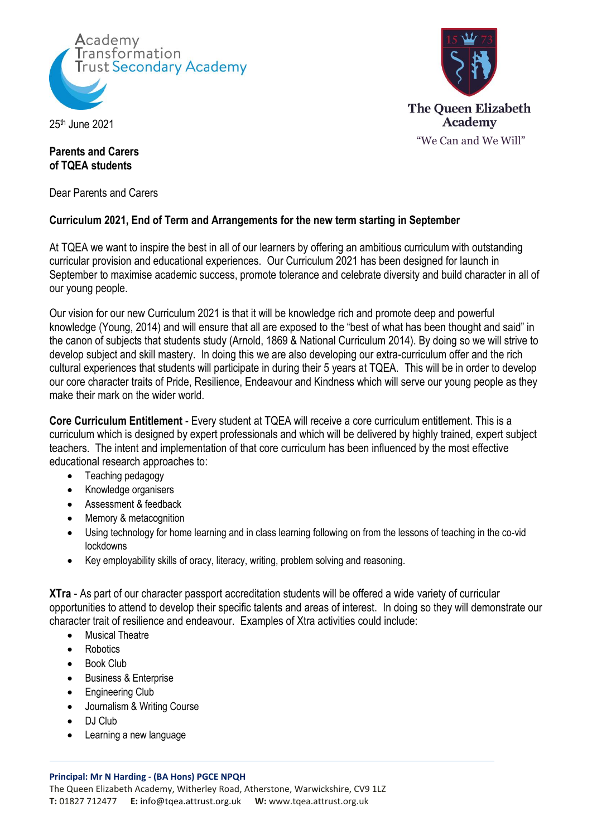

25th June 2021

## **Parents and Carers of TQEA students**

Dear Parents and Carers

# **Curriculum 2021, End of Term and Arrangements for the new term starting in September**

At TQEA we want to inspire the best in all of our learners by offering an ambitious curriculum with outstanding curricular provision and educational experiences. Our Curriculum 2021 has been designed for launch in September to maximise academic success, promote tolerance and celebrate diversity and build character in all of our young people.

Our vision for our new Curriculum 2021 is that it will be knowledge rich and promote deep and powerful knowledge (Young, 2014) and will ensure that all are exposed to the "best of what has been thought and said" in the canon of subjects that students study (Arnold, 1869 & National Curriculum 2014). By doing so we will strive to develop subject and skill mastery. In doing this we are also developing our extra-curriculum offer and the rich cultural experiences that students will participate in during their 5 years at TQEA. This will be in order to develop our core character traits of Pride, Resilience, Endeavour and Kindness which will serve our young people as they make their mark on the wider world.

**Core Curriculum Entitlement** - Every student at TQEA will receive a core curriculum entitlement. This is a curriculum which is designed by expert professionals and which will be delivered by highly trained, expert subject teachers. The intent and implementation of that core curriculum has been influenced by the most effective educational research approaches to:

- Teaching pedagogy
- Knowledge organisers
- Assessment & feedback
- Memory & metacognition
- Using technology for home learning and in class learning following on from the lessons of teaching in the co-vid lockdowns
- Key employability skills of oracy, literacy, writing, problem solving and reasoning.

**XTra** - As part of our character passport accreditation students will be offered a wide variety of curricular opportunities to attend to develop their specific talents and areas of interest. In doing so they will demonstrate our character trait of resilience and endeavour. Examples of Xtra activities could include:

- Musical Theatre
- **Robotics**
- Book Club
- Business & Enterprise
- Engineering Club
- Journalism & Writing Course
- DJ Club
- Learning a new language

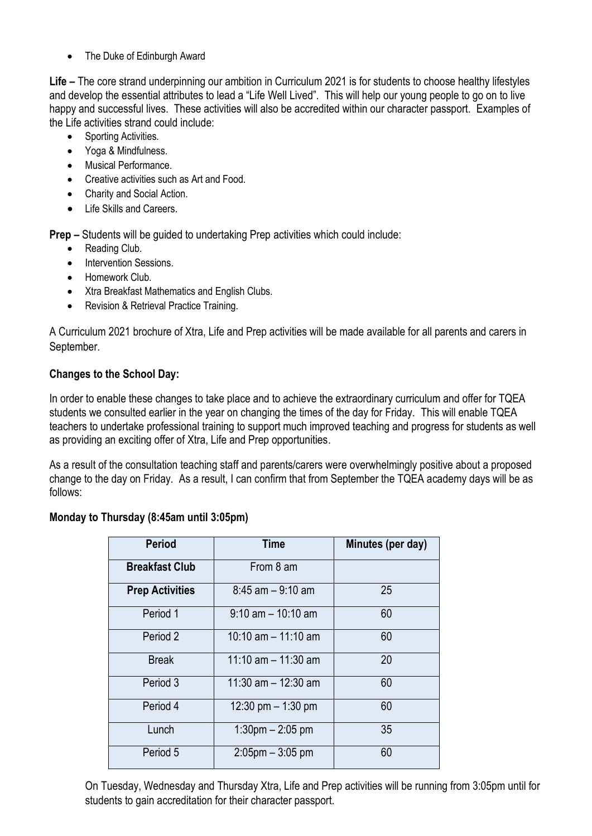• The Duke of Edinburgh Award

**Life –** The core strand underpinning our ambition in Curriculum 2021 is for students to choose healthy lifestyles and develop the essential attributes to lead a "Life Well Lived". This will help our young people to go on to live happy and successful lives. These activities will also be accredited within our character passport. Examples of the Life activities strand could include:

- Sporting Activities.
- Yoga & Mindfulness.
- Musical Performance.
- Creative activities such as Art and Food.
- Charity and Social Action.
- Life Skills and Careers.

**Prep –** Students will be guided to undertaking Prep activities which could include:

- Reading Club.
- Intervention Sessions.
- Homework Club.
- Xtra Breakfast Mathematics and English Clubs.
- Revision & Retrieval Practice Training.

A Curriculum 2021 brochure of Xtra, Life and Prep activities will be made available for all parents and carers in September.

# **Changes to the School Day:**

In order to enable these changes to take place and to achieve the extraordinary curriculum and offer for TQEA students we consulted earlier in the year on changing the times of the day for Friday. This will enable TQEA teachers to undertake professional training to support much improved teaching and progress for students as well as providing an exciting offer of Xtra, Life and Prep opportunities.

As a result of the consultation teaching staff and parents/carers were overwhelmingly positive about a proposed change to the day on Friday. As a result, I can confirm that from September the TQEA academy days will be as follows:

# **Monday to Thursday (8:45am until 3:05pm)**

| <b>Period</b>          | <b>Time</b>                       | Minutes (per day) |
|------------------------|-----------------------------------|-------------------|
| <b>Breakfast Club</b>  | From 8 am                         |                   |
| <b>Prep Activities</b> | $8:45$ am $-9:10$ am              | 25                |
| Period 1               | $9:10$ am $-10:10$ am             | 60                |
| Period 2               | $10:10$ am $-11:10$ am            | 60                |
| <b>Break</b>           | 11:10 $am - 11:30 am$             | 20                |
| Period 3               | 11:30 am $-$ 12:30 am             | 60                |
| Period 4               | 12:30 pm $-$ 1:30 pm              | 60                |
| Lunch                  | $1:30 \text{pm} - 2:05 \text{pm}$ | 35                |
| Period 5               | $2:05$ pm $-3:05$ pm              | 60                |

On Tuesday, Wednesday and Thursday Xtra, Life and Prep activities will be running from 3:05pm until for students to gain accreditation for their character passport.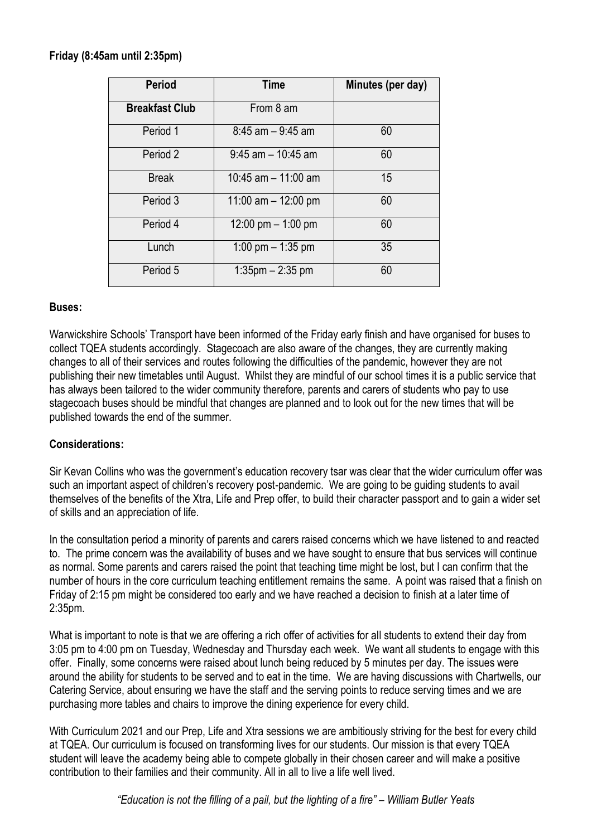# **Friday (8:45am until 2:35pm)**

| <b>Period</b>         | Time                  | Minutes (per day) |
|-----------------------|-----------------------|-------------------|
| <b>Breakfast Club</b> | From 8 am             |                   |
| Period 1              | $8:45$ am $-9:45$ am  | 60                |
| Period 2              | $9:45$ am $-10:45$ am | 60                |
| <b>Break</b>          | 10:45 am $-$ 11:00 am | 15                |
| Period 3              | 11:00 am $-$ 12:00 pm | 60                |
| Period 4              | 12:00 pm $-$ 1:00 pm  | 60                |
| Lunch                 | 1:00 pm $-$ 1:35 pm   | 35                |
| Period 5              | $1:35$ pm $-2:35$ pm  | 60                |

#### **Buses:**

Warwickshire Schools' Transport have been informed of the Friday early finish and have organised for buses to collect TQEA students accordingly. Stagecoach are also aware of the changes, they are currently making changes to all of their services and routes following the difficulties of the pandemic, however they are not publishing their new timetables until August. Whilst they are mindful of our school times it is a public service that has always been tailored to the wider community therefore, parents and carers of students who pay to use stagecoach buses should be mindful that changes are planned and to look out for the new times that will be published towards the end of the summer.

# **Considerations:**

Sir Kevan Collins who was the government's education recovery tsar was clear that the wider curriculum offer was such an important aspect of children's recovery post-pandemic. We are going to be guiding students to avail themselves of the benefits of the Xtra, Life and Prep offer, to build their character passport and to gain a wider set of skills and an appreciation of life.

In the consultation period a minority of parents and carers raised concerns which we have listened to and reacted to. The prime concern was the availability of buses and we have sought to ensure that bus services will continue as normal. Some parents and carers raised the point that teaching time might be lost, but I can confirm that the number of hours in the core curriculum teaching entitlement remains the same. A point was raised that a finish on Friday of 2:15 pm might be considered too early and we have reached a decision to finish at a later time of 2:35pm.

What is important to note is that we are offering a rich offer of activities for all students to extend their day from 3:05 pm to 4:00 pm on Tuesday, Wednesday and Thursday each week. We want all students to engage with this offer. Finally, some concerns were raised about lunch being reduced by 5 minutes per day. The issues were around the ability for students to be served and to eat in the time. We are having discussions with Chartwells, our Catering Service, about ensuring we have the staff and the serving points to reduce serving times and we are purchasing more tables and chairs to improve the dining experience for every child.

With Curriculum 2021 and our Prep, Life and Xtra sessions we are ambitiously striving for the best for every child at TQEA. Our curriculum is focused on transforming lives for our students. Our mission is that every TQEA student will leave the academy being able to compete globally in their chosen career and will make a positive contribution to their families and their community. All in all to live a life well lived.